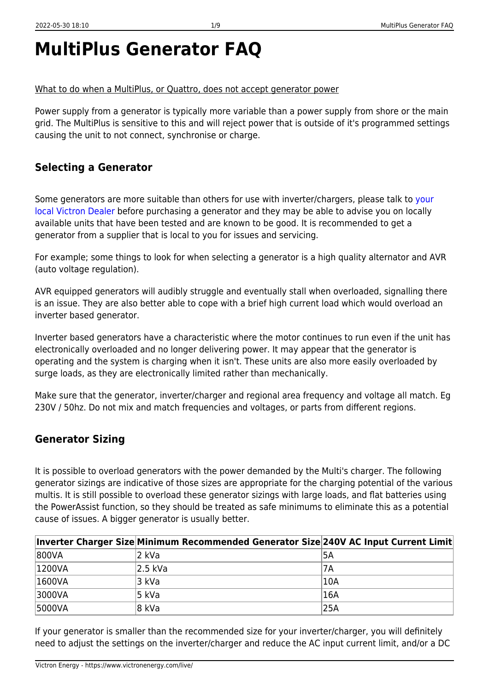## **MultiPlus Generator FAQ**

#### What to do when a MultiPlus, or Quattro, does not accept generator power

Power supply from a generator is typically more variable than a power supply from shore or the main grid. The MultiPlus is sensitive to this and will reject power that is outside of it's programmed settings causing the unit to not connect, synchronise or charge.

### **Selecting a Generator**

Some generators are more suitable than others for use with inverter/chargers, please talk to [your](https://www.victronenergy.com/where-to-buy) [local Victron Dealer](https://www.victronenergy.com/where-to-buy) before purchasing a generator and they may be able to advise you on locally available units that have been tested and are known to be good. It is recommended to get a generator from a supplier that is local to you for issues and servicing.

For example; some things to look for when selecting a generator is a high quality alternator and AVR (auto voltage regulation).

AVR equipped generators will audibly struggle and eventually stall when overloaded, signalling there is an issue. They are also better able to cope with a brief high current load which would overload an inverter based generator.

Inverter based generators have a characteristic where the motor continues to run even if the unit has electronically overloaded and no longer delivering power. It may appear that the generator is operating and the system is charging when it isn't. These units are also more easily overloaded by surge loads, as they are electronically limited rather than mechanically.

Make sure that the generator, inverter/charger and regional area frequency and voltage all match. Eg 230V / 50hz. Do not mix and match frequencies and voltages, or parts from different regions.

### **Generator Sizing**

It is possible to overload generators with the power demanded by the Multi's charger. The following generator sizings are indicative of those sizes are appropriate for the charging potential of the various multis. It is still possible to overload these generator sizings with large loads, and flat batteries using the PowerAssist function, so they should be treated as safe minimums to eliminate this as a potential cause of issues. A bigger generator is usually better.

|        | Inverter Charger Size Minimum Recommended Generator Size 240V AC Input Current Limit |           |
|--------|--------------------------------------------------------------------------------------|-----------|
| 800VA  | 2 kVa                                                                                | 5A        |
| 1200VA | 2.5 kVa                                                                              | <b>7A</b> |
| 1600VA | 3 kVa                                                                                | 10A       |
| 3000VA | 5 kVa                                                                                | 16A       |
| 5000VA | 8 kVa                                                                                | 125A      |

If your generator is smaller than the recommended size for your inverter/charger, you will definitely need to adjust the settings on the inverter/charger and reduce the AC input current limit, and/or a DC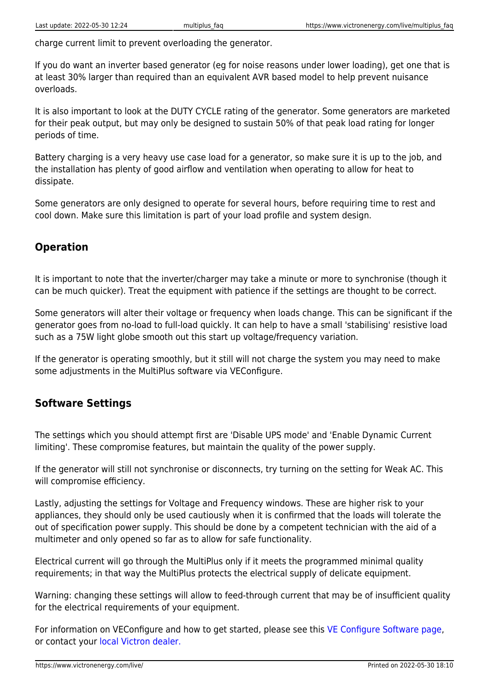charge current limit to prevent overloading the generator.

If you do want an inverter based generator (eg for noise reasons under lower loading), get one that is at least 30% larger than required than an equivalent AVR based model to help prevent nuisance overloads.

It is also important to look at the DUTY CYCLE rating of the generator. Some generators are marketed for their peak output, but may only be designed to sustain 50% of that peak load rating for longer periods of time.

Battery charging is a very heavy use case load for a generator, so make sure it is up to the job, and the installation has plenty of good airflow and ventilation when operating to allow for heat to dissipate.

Some generators are only designed to operate for several hours, before requiring time to rest and cool down. Make sure this limitation is part of your load profile and system design.

### **Operation**

It is important to note that the inverter/charger may take a minute or more to synchronise (though it can be much quicker). Treat the equipment with patience if the settings are thought to be correct.

Some generators will alter their voltage or frequency when loads change. This can be significant if the generator goes from no-load to full-load quickly. It can help to have a small 'stabilising' resistive load such as a 75W light globe smooth out this start up voltage/frequency variation.

If the generator is operating smoothly, but it still will not charge the system you may need to make some adjustments in the MultiPlus software via VEConfigure.

### **Software Settings**

The settings which you should attempt first are 'Disable UPS mode' and 'Enable Dynamic Current limiting'. These compromise features, but maintain the quality of the power supply.

If the generator will still not synchronise or disconnects, try turning on the setting for Weak AC. This will compromise efficiency.

Lastly, adjusting the settings for Voltage and Frequency windows. These are higher risk to your appliances, they should only be used cautiously when it is confirmed that the loads will tolerate the out of specification power supply. This should be done by a competent technician with the aid of a multimeter and only opened so far as to allow for safe functionality.

Electrical current will go through the MultiPlus only if it meets the programmed minimal quality requirements; in that way the MultiPlus protects the electrical supply of delicate equipment.

Warning: changing these settings will allow to feed-through current that may be of insufficient quality for the electrical requirements of your equipment.

For information on VEConfigure and how to get started, please see this [VE Configure Software page,](https://www.victronenergy.com/support-and-downloads/software) or contact your [local Victron dealer.](https://www.victronenergy.com/where-to-buy)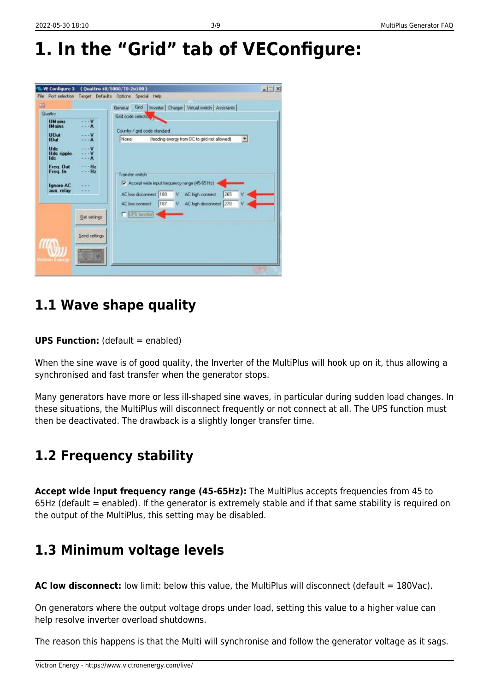# **1. In the "Grid" tab of VEConfigure:**



### **1.1 Wave shape quality**

#### **UPS Function:** (default = enabled)

When the sine wave is of good quality, the Inverter of the MultiPlus will hook up on it, thus allowing a synchronised and fast transfer when the generator stops.

Many generators have more or less ill-shaped sine waves, in particular during sudden load changes. In these situations, the MultiPlus will disconnect frequently or not connect at all. The UPS function must then be deactivated. The drawback is a slightly longer transfer time.

## **1.2 Frequency stability**

**Accept wide input frequency range (45-65Hz):** The MultiPlus accepts frequencies from 45 to 65Hz (default = enabled). If the generator is extremely stable and if that same stability is required on the output of the MultiPlus, this setting may be disabled.

### **1.3 Minimum voltage levels**

**AC low disconnect:** low limit: below this value, the MultiPlus will disconnect (default = 180Vac).

On generators where the output voltage drops under load, setting this value to a higher value can help resolve inverter overload shutdowns.

The reason this happens is that the Multi will synchronise and follow the generator voltage as it sags.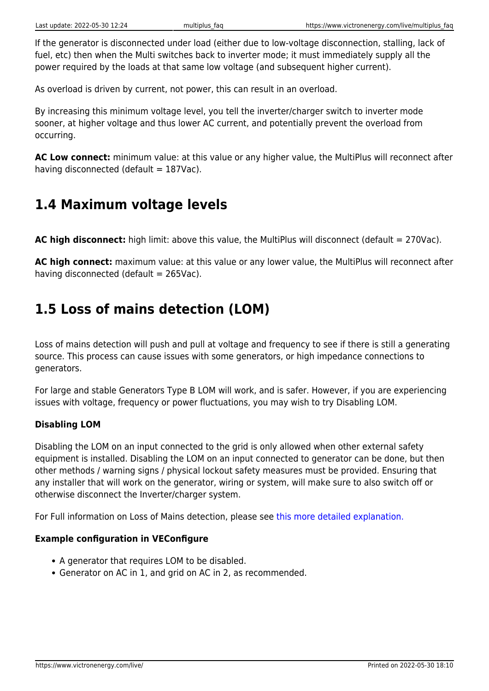If the generator is disconnected under load (either due to low-voltage disconnection, stalling, lack of fuel, etc) then when the Multi switches back to inverter mode; it must immediately supply all the power required by the loads at that same low voltage (and subsequent higher current).

As overload is driven by current, not power, this can result in an overload.

By increasing this minimum voltage level, you tell the inverter/charger switch to inverter mode sooner, at higher voltage and thus lower AC current, and potentially prevent the overload from occurring.

**AC Low connect:** minimum value: at this value or any higher value, the MultiPlus will reconnect after having disconnected (default  $= 187$ Vac).

### **1.4 Maximum voltage levels**

**AC high disconnect:** high limit: above this value, the MultiPlus will disconnect (default = 270Vac).

**AC high connect:** maximum value: at this value or any lower value, the MultiPlus will reconnect after having disconnected (default  $= 265$ Vac).

### **1.5 Loss of mains detection (LOM)**

Loss of mains detection will push and pull at voltage and frequency to see if there is still a generating source. This process can cause issues with some generators, or high impedance connections to generators.

For large and stable Generators Type B LOM will work, and is safer. However, if you are experiencing issues with voltage, frequency or power fluctuations, you may wish to try Disabling LOM.

#### **Disabling LOM**

Disabling the LOM on an input connected to the grid is only allowed when other external safety equipment is installed. Disabling the LOM on an input connected to generator can be done, but then other methods / warning signs / physical lockout safety measures must be provided. Ensuring that any installer that will work on the generator, wiring or system, will make sure to also switch off or otherwise disconnect the Inverter/charger system.

For Full information on Loss of Mains detection, please see [this more detailed explanation.](https://www.victronenergy.com/live/ve.bus:grid-codes-and-loss-of-mains-detection)

#### **Example configuration in VEConfigure**

- A generator that requires LOM to be disabled.
- Generator on AC in 1, and grid on AC in 2, as recommended.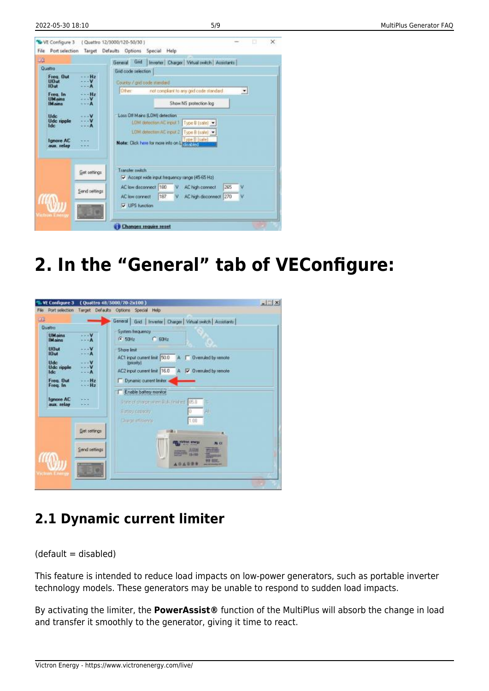| EG.                                                                                                                                                                                   |               | Gad<br>Inverter Charger Virtual switch Assistants<br>General                                                                                                                                                                                                                                                                                  |  |  |  |  |  |
|---------------------------------------------------------------------------------------------------------------------------------------------------------------------------------------|---------------|-----------------------------------------------------------------------------------------------------------------------------------------------------------------------------------------------------------------------------------------------------------------------------------------------------------------------------------------------|--|--|--|--|--|
| Qualitio<br>Freq. Out<br>$-$ - $Hz$<br><b>UDut</b><br>10ut<br>Freq. In<br>Hz<br><b>UMains</b><br>IM ains<br><b>Ude</b><br>Ude ripple<br><b>Ide:</b><br><b>Ignore AC</b><br>aux. relay |               | <b>Grid code selection</b><br>Country / grid code standard<br>Other<br>not compliant to any grid code standard<br>۰<br>Show NS protection log<br>Loss DII Mains (LDM) detection<br>LDM detection AC input 1   Type B (safe) [ *<br>LDM detection AC input 2   Type B (safe) <<br>Type B (sale)<br>Note: Elick here for more into on Licensens |  |  |  |  |  |
| Get settings                                                                                                                                                                          |               | Transfer switch<br>Accept wide input frequency range (45.65 Hz)                                                                                                                                                                                                                                                                               |  |  |  |  |  |
|                                                                                                                                                                                       | Send settings | AC low deconnect 180<br>265<br>AC high connect<br>v<br>187<br>AC high disconnect 270<br>AC low connect<br>v<br>ν                                                                                                                                                                                                                              |  |  |  |  |  |
|                                                                                                                                                                                       |               |                                                                                                                                                                                                                                                                                                                                               |  |  |  |  |  |

## **2. In the "General" tab of VEConfigure:**



## **2.1 Dynamic current limiter**

 $(default = disabled)$ 

This feature is intended to reduce load impacts on low-power generators, such as portable inverter technology models. These generators may be unable to respond to sudden load impacts.

By activating the limiter, the **PowerAssist®** function of the MultiPlus will absorb the change in load and transfer it smoothly to the generator, giving it time to react.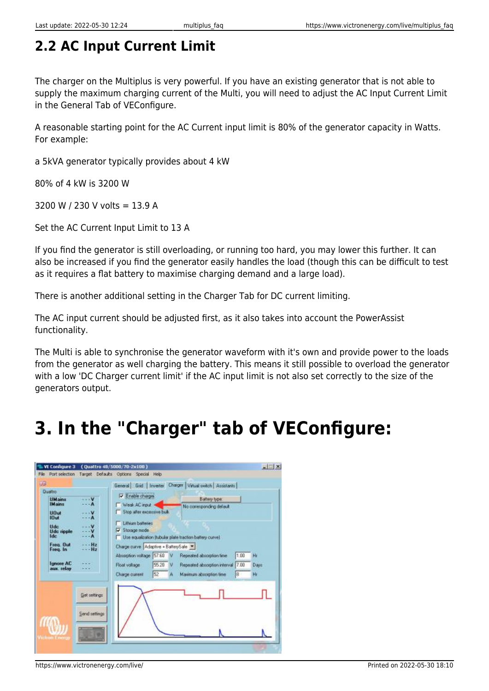## **2.2 AC Input Current Limit**

The charger on the Multiplus is very powerful. If you have an existing generator that is not able to supply the maximum charging current of the Multi, you will need to adjust the AC Input Current Limit in the General Tab of VEConfigure.

A reasonable starting point for the AC Current input limit is 80% of the generator capacity in Watts. For example:

a 5kVA generator typically provides about 4 kW

80% of 4 kW is 3200 W

3200 W / 230 V volts =  $13.9$  A

Set the AC Current Input Limit to 13 A

If you find the generator is still overloading, or running too hard, you may lower this further. It can also be increased if you find the generator easily handles the load (though this can be difficult to test as it requires a flat battery to maximise charging demand and a large load).

There is another additional setting in the Charger Tab for DC current limiting.

The AC input current should be adjusted first, as it also takes into account the PowerAssist functionality.

The Multi is able to synchronise the generator waveform with it's own and provide power to the loads from the generator as well charging the battery. This means it still possible to overload the generator with a low 'DC Charger current limit' if the AC input limit is not also set correctly to the size of the generators output.

# **3. In the "Charger" tab of VEConfigure:**

| <b>Duetro</b>                           |                      | General Grid Inverter<br>To Enable charge.                                                      |   | Charger Virtual switch Assistants                                                   |                       |                              |
|-----------------------------------------|----------------------|-------------------------------------------------------------------------------------------------|---|-------------------------------------------------------------------------------------|-----------------------|------------------------------|
| <b>UMains</b><br><b>IM ains</b>         |                      | Week AC input                                                                                   |   | <b>Battery type:</b><br>No corresponding default                                    |                       |                              |
| <b>UDut</b><br>$10$ ut                  |                      | Stop after excessive bulk                                                                       |   |                                                                                     |                       |                              |
| <b>Ude</b><br>Uda ripple<br><b>Ide:</b> |                      | Lithium baltenes<br>V Storage mode<br>Lise equalization (tubular plate traction battery curve). |   |                                                                                     |                       |                              |
| Freq. Out<br>Freq. In                   | Hz<br>H <sub>2</sub> | Charge curve Adaptive + BatterySafe                                                             |   |                                                                                     |                       |                              |
| <b>Tanore AC</b><br>aux. relay          |                      | Absorption voltage 57.60<br>55.20<br>Float voltage<br>52<br>Charge ourrent                      | ν | Repeated absorption time<br>Repeated absorption interval<br>Maximum absorption time | 1.00<br>7.00<br>$8 -$ | H <sub>1</sub><br>Days<br>Hı |
|                                         | <b>Get settings</b>  |                                                                                                 |   |                                                                                     |                       |                              |
|                                         | Send settings        |                                                                                                 |   |                                                                                     |                       |                              |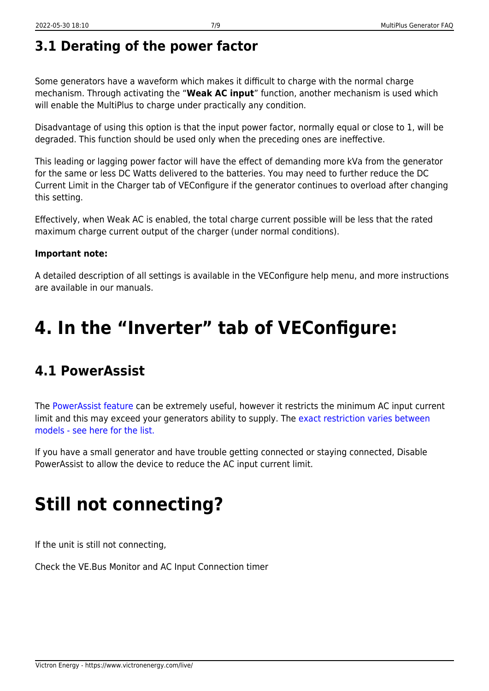## **3.1 Derating of the power factor**

Some generators have a waveform which makes it difficult to charge with the normal charge mechanism. Through activating the "**Weak AC input**" function, another mechanism is used which will enable the MultiPlus to charge under practically any condition.

Disadvantage of using this option is that the input power factor, normally equal or close to 1, will be degraded. This function should be used only when the preceding ones are ineffective.

This leading or lagging power factor will have the effect of demanding more kVa from the generator for the same or less DC Watts delivered to the batteries. You may need to further reduce the DC Current Limit in the Charger tab of VEConfigure if the generator continues to overload after changing this setting.

Effectively, when Weak AC is enabled, the total charge current possible will be less that the rated maximum charge current output of the charger (under normal conditions).

#### **Important note:**

A detailed description of all settings is available in the VEConfigure help menu, and more instructions are available in our manuals.

# **4. In the "Inverter" tab of VEConfigure:**

### **4.1 PowerAssist**

The [PowerAssist feature](https://www.victronenergy.com/upload/documents/White-paper-Achieving-the-impossible-EN.pdf) can be extremely useful, however it restricts the minimum AC input current limit and this may exceed your generators ability to supply. The [exact restriction varies between](https://www.victronenergy.com/blog/2018/04/20/multiplus-quattro-inverter-chargers-improved-current-limits/) [models - see here for the list.](https://www.victronenergy.com/blog/2018/04/20/multiplus-quattro-inverter-chargers-improved-current-limits/)

If you have a small generator and have trouble getting connected or staying connected, Disable PowerAssist to allow the device to reduce the AC input current limit.

# **Still not connecting?**

If the unit is still not connecting,

Check the VE.Bus Monitor and AC Input Connection timer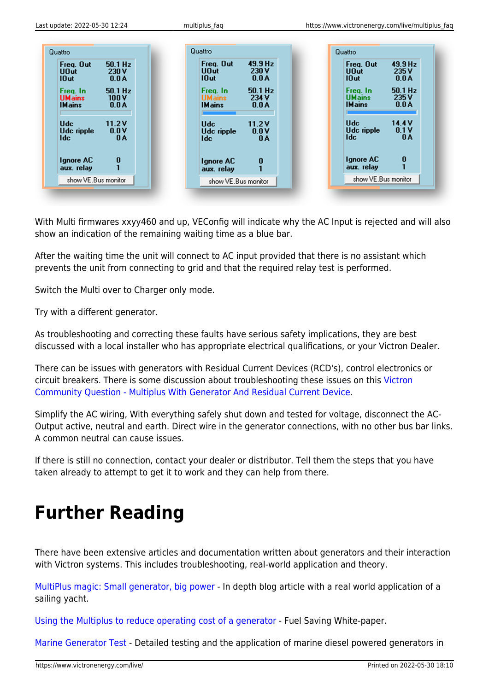

With Multi firmwares xxyy460 and up, VEConfig will indicate why the AC Input is rejected and will also show an indication of the remaining waiting time as a blue bar.

After the waiting time the unit will connect to AC input provided that there is no assistant which prevents the unit from connecting to grid and that the required relay test is performed.

Switch the Multi over to Charger only mode.

Try with a different generator.

As troubleshooting and correcting these faults have serious safety implications, they are best discussed with a local installer who has appropriate electrical qualifications, or your Victron Dealer.

There can be issues with generators with Residual Current Devices (RCD's), control electronics or circuit breakers. There is some discussion about troubleshooting these issues on this [Victron](https://community.victronenergy.com/questions/1702/multiplus-with-generator-and-residual-current-devi.html) [Community Question - Multiplus With Generator And Residual Current Device.](https://community.victronenergy.com/questions/1702/multiplus-with-generator-and-residual-current-devi.html)

Simplify the AC wiring, With everything safely shut down and tested for voltage, disconnect the AC-Output active, neutral and earth. Direct wire in the generator connections, with no other bus bar links. A common neutral can cause issues.

If there is still no connection, contact your dealer or distributor. Tell them the steps that you have taken already to attempt to get it to work and they can help from there.

# **Further Reading**

There have been extensive articles and documentation written about generators and their interaction with Victron systems. This includes troubleshooting, real-world application and theory.

[MultiPlus magic: Small generator, big power](https://www.victronenergy.com/blog/2016/08/29/multiplus-magic-small-generator-big-power/) - In depth blog article with a real world application of a sailing yacht.

[Using the Multiplus to reduce operating cost of a generator](https://www.victronenergy.com/upload/documents/White-paper-Using-the-MultiPlus-to-reduce-operating-cost-of-a-generator-EN.pdf) - Fuel Saving White-paper.

[Marine Generator Test](https://www.victronenergy.com/upload/documents/VE_Marine_generator_test_RVA_07-jan-2008.pdf) - Detailed testing and the application of marine diesel powered generators in